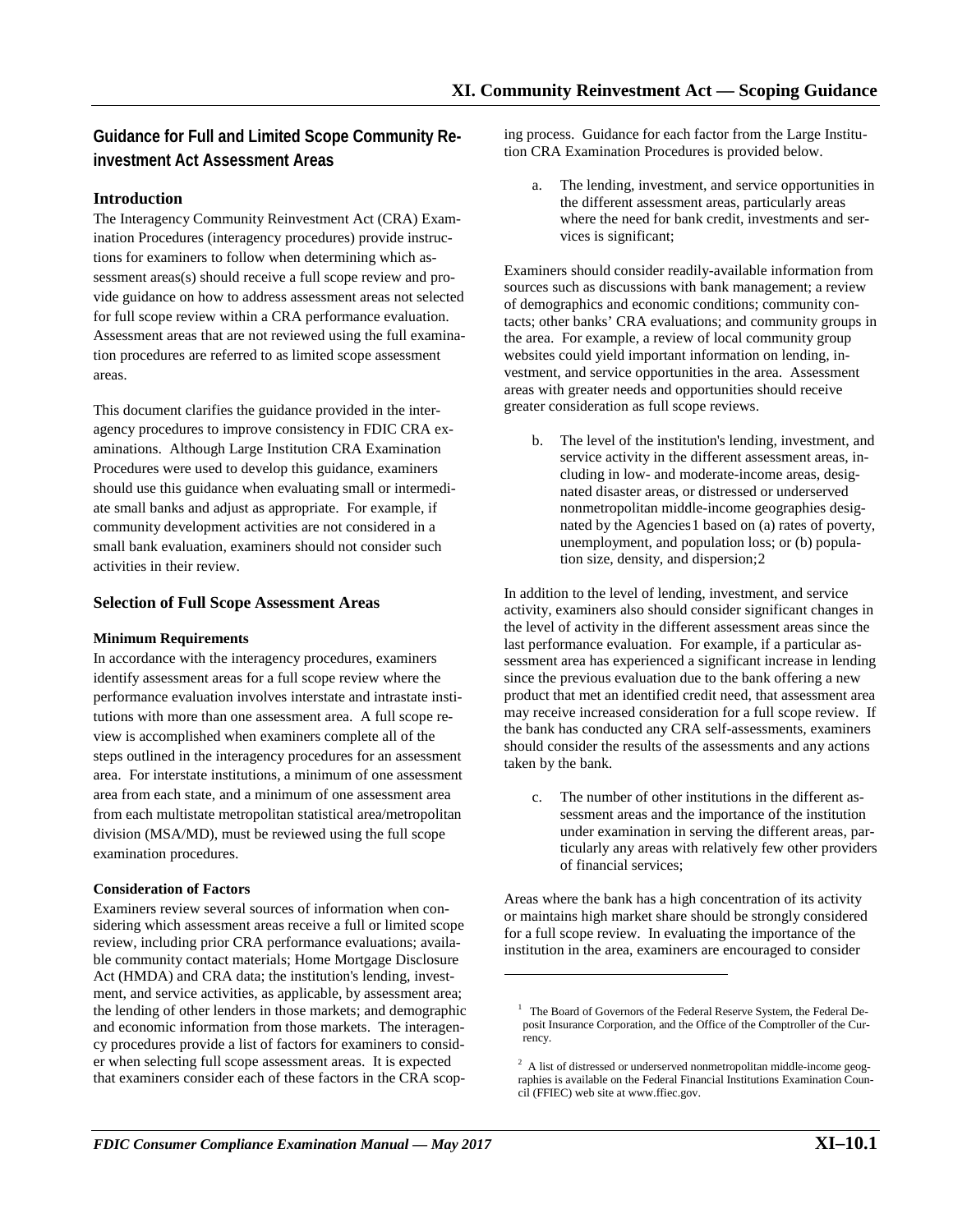# **Guidance for Full and Limited Scope Community Reinvestment Act Assessment Areas**

# **Introduction**

The Interagency Community Reinvestment Act (CRA) Examination Procedures (interagency procedures) provide instructions for examiners to follow when determining which assessment areas(s) should receive a full scope review and provide guidance on how to address assessment areas not selected for full scope review within a CRA performance evaluation. Assessment areas that are not reviewed using the full examination procedures are referred to as limited scope assessment areas.

This document clarifies the guidance provided in the interagency procedures to improve consistency in FDIC CRA examinations. Although Large Institution CRA Examination Procedures were used to develop this guidance, examiners should use this guidance when evaluating small or intermediate small banks and adjust as appropriate. For example, if community development activities are not considered in a small bank evaluation, examiners should not consider such activities in their review.

# **Selection of Full Scope Assessment Areas**

### **Minimum Requirements**

In accordance with the interagency procedures, examiners identify assessment areas for a full scope review where the performance evaluation involves interstate and intrastate institutions with more than one assessment area. A full scope review is accomplished when examiners complete all of the steps outlined in the interagency procedures for an assessment area. For interstate institutions, a minimum of one assessment area from each state, and a minimum of one assessment area from each multistate metropolitan statistical area/metropolitan division (MSA/MD), must be reviewed using the full scope examination procedures.

# **Consideration of Factors**

<span id="page-0-1"></span><span id="page-0-0"></span>Examiners review several sources of information when considering which assessment areas receive a full or limited scope review, including prior CRA performance evaluations; available community contact materials; Home Mortgage Disclosure Act (HMDA) and CRA data; the institution's lending, investment, and service activities, as applicable, by assessment area; the lending of other lenders in those markets; and demographic and economic information from those markets. The interagency procedures provide a list of factors for examiners to consider when selecting full scope assessment areas. It is expected that examiners consider each of these factors in the CRA scop-

ing process. Guidance for each factor from the Large Institution CRA Examination Procedures is provided below.

a. The lending, investment, and service opportunities in the different assessment areas, particularly areas where the need for bank credit, investments and services is significant;

Examiners should consider readily-available information from sources such as discussions with bank management; a review of demographics and economic conditions; community contacts; other banks' CRA evaluations; and community groups in the area. For example, a review of local community group websites could yield important information on lending, investment, and service opportunities in the area. Assessment areas with greater needs and opportunities should receive greater consideration as full scope reviews.

b. The level of the institution's lending, investment, and service activity in the different assessment areas, including in low- and moderate-income areas, designated disaster areas, or distressed or underserved nonmetropolitan middle-income geographies designated by the Agencies[1](#page-0-0) based on (a) rates of poverty, unemployment, and population loss; or (b) population size, density, and dispersion;[2](#page-0-1)

In addition to the level of lending, investment, and service activity, examiners also should consider significant changes in the level of activity in the different assessment areas since the last performance evaluation. For example, if a particular assessment area has experienced a significant increase in lending since the previous evaluation due to the bank offering a new product that met an identified credit need, that assessment area may receive increased consideration for a full scope review. If the bank has conducted any CRA self-assessments, examiners should consider the results of the assessments and any actions taken by the bank.

c. The number of other institutions in the different assessment areas and the importance of the institution under examination in serving the different areas, particularly any areas with relatively few other providers of financial services;

Areas where the bank has a high concentration of its activity or maintains high market share should be strongly considered for a full scope review. In evaluating the importance of the institution in the area, examiners are encouraged to consider

l

<sup>&</sup>lt;sup>1</sup> The Board of Governors of the Federal Reserve System, the Federal Deposit Insurance Corporation, and the Office of the Comptroller of the Currency.

 $2$  A list of distressed or underserved nonmetropolitan middle-income geographies is available on the Federal Financial Institutions Examination Council (FFIEC) web site at www.ffiec.gov.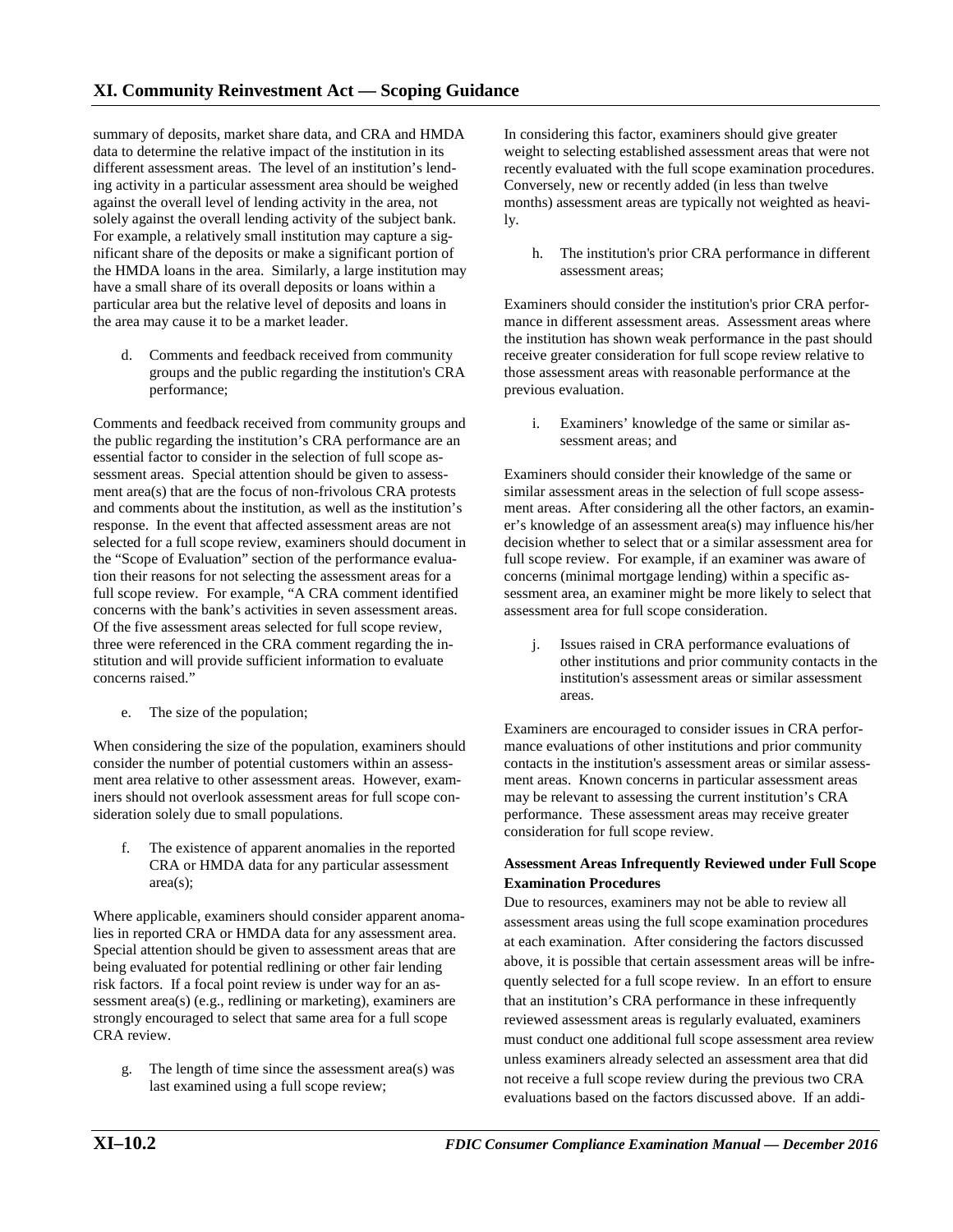summary of deposits, market share data, and CRA and HMDA data to determine the relative impact of the institution in its different assessment areas. The level of an institution's lending activity in a particular assessment area should be weighed against the overall level of lending activity in the area, not solely against the overall lending activity of the subject bank. For example, a relatively small institution may capture a significant share of the deposits or make a significant portion of the HMDA loans in the area. Similarly, a large institution may have a small share of its overall deposits or loans within a particular area but the relative level of deposits and loans in the area may cause it to be a market leader.

d. Comments and feedback received from community groups and the public regarding the institution's CRA performance;

Comments and feedback received from community groups and the public regarding the institution's CRA performance are an essential factor to consider in the selection of full scope assessment areas. Special attention should be given to assessment area(s) that are the focus of non-frivolous CRA protests and comments about the institution, as well as the institution's response. In the event that affected assessment areas are not selected for a full scope review, examiners should document in the "Scope of Evaluation" section of the performance evaluation their reasons for not selecting the assessment areas for a full scope review. For example, "A CRA comment identified concerns with the bank's activities in seven assessment areas. Of the five assessment areas selected for full scope review, three were referenced in the CRA comment regarding the institution and will provide sufficient information to evaluate concerns raised."

e. The size of the population;

When considering the size of the population, examiners should consider the number of potential customers within an assessment area relative to other assessment areas. However, examiners should not overlook assessment areas for full scope consideration solely due to small populations.

f. The existence of apparent anomalies in the reported CRA or HMDA data for any particular assessment area(s);

Where applicable, examiners should consider apparent anomalies in reported CRA or HMDA data for any assessment area. Special attention should be given to assessment areas that are being evaluated for potential redlining or other fair lending risk factors. If a focal point review is under way for an assessment area(s) (e.g., redlining or marketing), examiners are strongly encouraged to select that same area for a full scope CRA review.

g. The length of time since the assessment area(s) was last examined using a full scope review;

In considering this factor, examiners should give greater weight to selecting established assessment areas that were not recently evaluated with the full scope examination procedures. Conversely, new or recently added (in less than twelve months) assessment areas are typically not weighted as heavily.

h. The institution's prior CRA performance in different assessment areas;

Examiners should consider the institution's prior CRA performance in different assessment areas. Assessment areas where the institution has shown weak performance in the past should receive greater consideration for full scope review relative to those assessment areas with reasonable performance at the previous evaluation.

i. Examiners' knowledge of the same or similar assessment areas; and

Examiners should consider their knowledge of the same or similar assessment areas in the selection of full scope assessment areas. After considering all the other factors, an examiner's knowledge of an assessment area(s) may influence his/her decision whether to select that or a similar assessment area for full scope review. For example, if an examiner was aware of concerns (minimal mortgage lending) within a specific assessment area, an examiner might be more likely to select that assessment area for full scope consideration.

j. Issues raised in CRA performance evaluations of other institutions and prior community contacts in the institution's assessment areas or similar assessment areas.

Examiners are encouraged to consider issues in CRA performance evaluations of other institutions and prior community contacts in the institution's assessment areas or similar assessment areas. Known concerns in particular assessment areas may be relevant to assessing the current institution's CRA performance. These assessment areas may receive greater consideration for full scope review.

# **Assessment Areas Infrequently Reviewed under Full Scope Examination Procedures**

Due to resources, examiners may not be able to review all assessment areas using the full scope examination procedures at each examination. After considering the factors discussed above, it is possible that certain assessment areas will be infrequently selected for a full scope review. In an effort to ensure that an institution's CRA performance in these infrequently reviewed assessment areas is regularly evaluated, examiners must conduct one additional full scope assessment area review unless examiners already selected an assessment area that did not receive a full scope review during the previous two CRA evaluations based on the factors discussed above. If an addi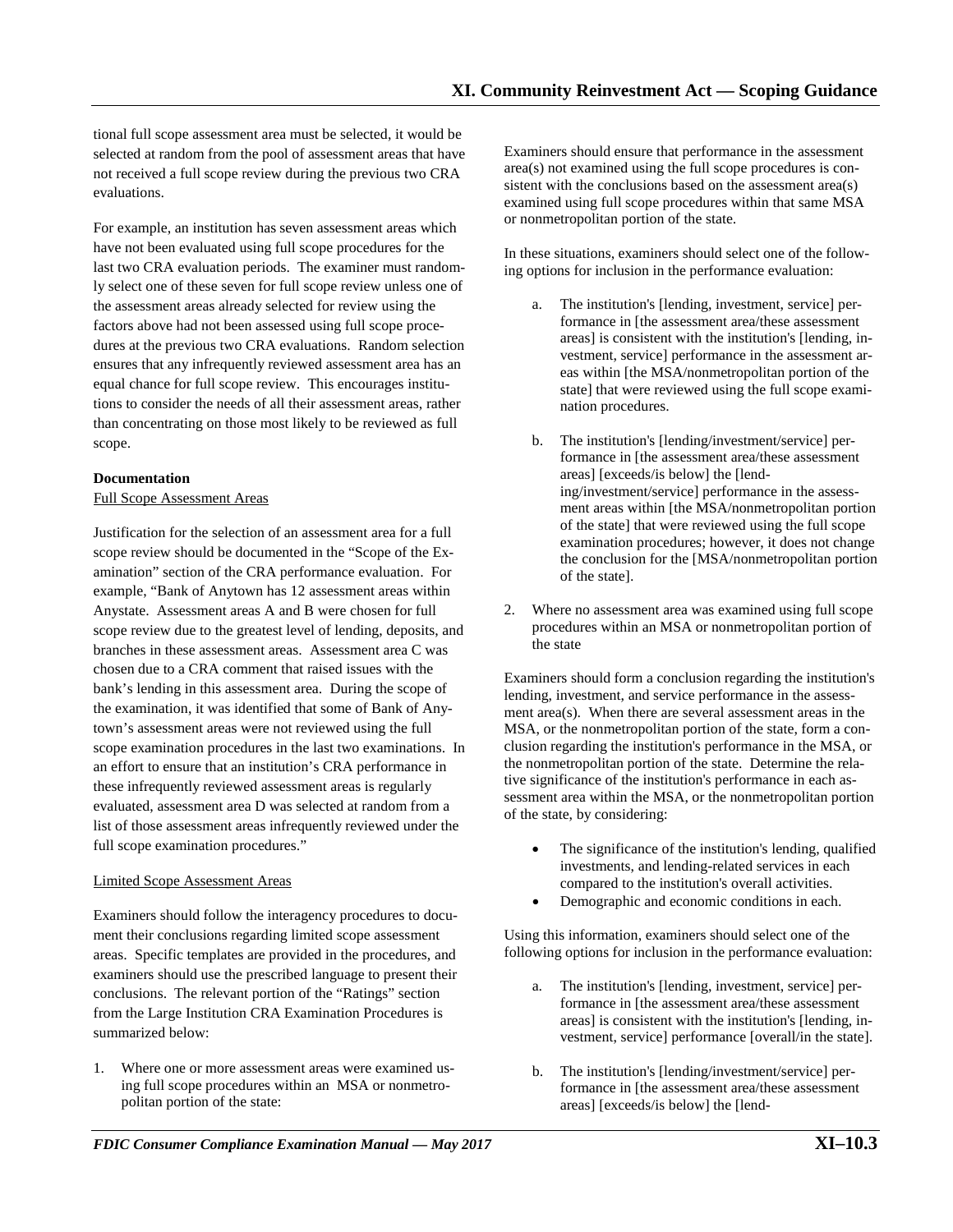tional full scope assessment area must be selected, it would be selected at random from the pool of assessment areas that have not received a full scope review during the previous two CRA evaluations.

For example, an institution has seven assessment areas which have not been evaluated using full scope procedures for the last two CRA evaluation periods. The examiner must randomly select one of these seven for full scope review unless one of the assessment areas already selected for review using the factors above had not been assessed using full scope procedures at the previous two CRA evaluations. Random selection ensures that any infrequently reviewed assessment area has an equal chance for full scope review. This encourages institutions to consider the needs of all their assessment areas, rather than concentrating on those most likely to be reviewed as full scope.

### **Documentation**

### Full Scope Assessment Areas

Justification for the selection of an assessment area for a full scope review should be documented in the "Scope of the Examination" section of the CRA performance evaluation. For example, "Bank of Anytown has 12 assessment areas within Anystate. Assessment areas A and B were chosen for full scope review due to the greatest level of lending, deposits, and branches in these assessment areas. Assessment area C was chosen due to a CRA comment that raised issues with the bank's lending in this assessment area. During the scope of the examination, it was identified that some of Bank of Anytown's assessment areas were not reviewed using the full scope examination procedures in the last two examinations. In an effort to ensure that an institution's CRA performance in these infrequently reviewed assessment areas is regularly evaluated, assessment area D was selected at random from a list of those assessment areas infrequently reviewed under the full scope examination procedures."

### Limited Scope Assessment Areas

Examiners should follow the interagency procedures to document their conclusions regarding limited scope assessment areas. Specific templates are provided in the procedures, and examiners should use the prescribed language to present their conclusions. The relevant portion of the "Ratings" section from the Large Institution CRA Examination Procedures is summarized below:

1. Where one or more assessment areas were examined using full scope procedures within an MSA or nonmetropolitan portion of the state:

Examiners should ensure that performance in the assessment area(s) not examined using the full scope procedures is consistent with the conclusions based on the assessment area(s) examined using full scope procedures within that same MSA or nonmetropolitan portion of the state.

In these situations, examiners should select one of the following options for inclusion in the performance evaluation:

- a. The institution's [lending, investment, service] performance in [the assessment area/these assessment areas] is consistent with the institution's [lending, investment, service] performance in the assessment areas within [the MSA/nonmetropolitan portion of the state] that were reviewed using the full scope examination procedures.
- b. The institution's [lending/investment/service] performance in [the assessment area/these assessment areas] [exceeds/is below] the [lending/investment/service] performance in the assessment areas within [the MSA/nonmetropolitan portion of the state] that were reviewed using the full scope examination procedures; however, it does not change the conclusion for the [MSA/nonmetropolitan portion of the state].
- 2. Where no assessment area was examined using full scope procedures within an MSA or nonmetropolitan portion of the state

Examiners should form a conclusion regarding the institution's lending, investment, and service performance in the assessment area(s). When there are several assessment areas in the MSA, or the nonmetropolitan portion of the state, form a conclusion regarding the institution's performance in the MSA, or the nonmetropolitan portion of the state. Determine the relative significance of the institution's performance in each assessment area within the MSA, or the nonmetropolitan portion of the state, by considering:

- The significance of the institution's lending, qualified investments, and lending-related services in each compared to the institution's overall activities.
- Demographic and economic conditions in each.

Using this information, examiners should select one of the following options for inclusion in the performance evaluation:

- a. The institution's [lending, investment, service] performance in [the assessment area/these assessment areas] is consistent with the institution's [lending, investment, service] performance [overall/in the state].
- b. The institution's [lending/investment/service] performance in [the assessment area/these assessment areas] [exceeds/is below] the [lend-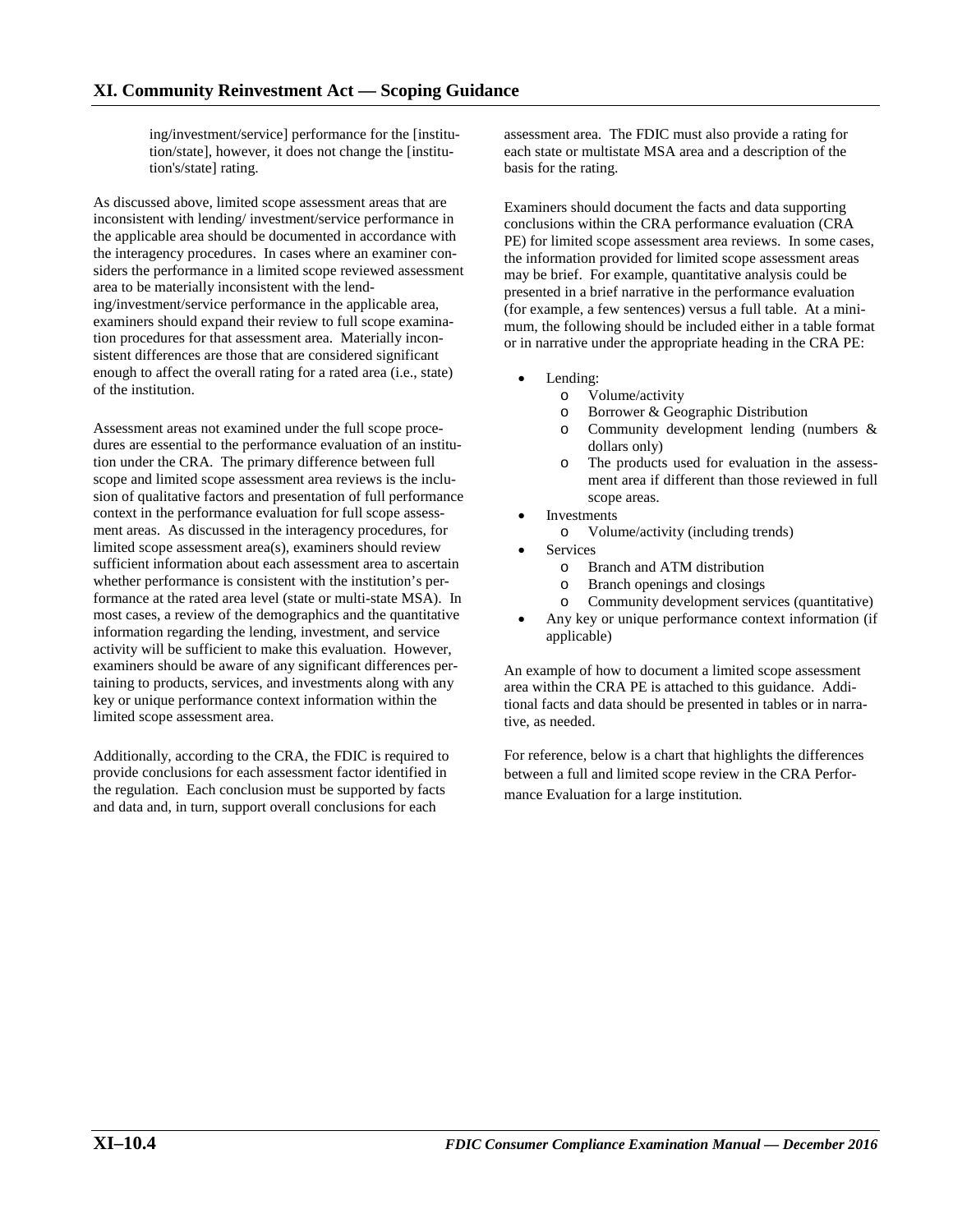ing/investment/service] performance for the [institution/state], however, it does not change the [institution's/state] rating.

As discussed above, limited scope assessment areas that are inconsistent with lending/ investment/service performance in the applicable area should be documented in accordance with the interagency procedures. In cases where an examiner considers the performance in a limited scope reviewed assessment area to be materially inconsistent with the lending/investment/service performance in the applicable area, examiners should expand their review to full scope examination procedures for that assessment area. Materially inconsistent differences are those that are considered significant enough to affect the overall rating for a rated area (i.e., state) of the institution.

Assessment areas not examined under the full scope procedures are essential to the performance evaluation of an institution under the CRA. The primary difference between full scope and limited scope assessment area reviews is the inclusion of qualitative factors and presentation of full performance context in the performance evaluation for full scope assessment areas. As discussed in the interagency procedures, for limited scope assessment area(s), examiners should review sufficient information about each assessment area to ascertain whether performance is consistent with the institution's performance at the rated area level (state or multi-state MSA). In most cases, a review of the demographics and the quantitative information regarding the lending, investment, and service activity will be sufficient to make this evaluation. However, examiners should be aware of any significant differences pertaining to products, services, and investments along with any key or unique performance context information within the limited scope assessment area.

Additionally, according to the CRA, the FDIC is required to provide conclusions for each assessment factor identified in the regulation. Each conclusion must be supported by facts and data and, in turn, support overall conclusions for each

assessment area. The FDIC must also provide a rating for each state or multistate MSA area and a description of the basis for the rating.

Examiners should document the facts and data supporting conclusions within the CRA performance evaluation (CRA PE) for limited scope assessment area reviews. In some cases, the information provided for limited scope assessment areas may be brief. For example, quantitative analysis could be presented in a brief narrative in the performance evaluation (for example, a few sentences) versus a full table. At a minimum, the following should be included either in a table format or in narrative under the appropriate heading in the CRA PE:

- Lending:
	- o Volume/activity
	- o Borrower & Geographic Distribution
	- o Community development lending (numbers & dollars only)
	- o The products used for evaluation in the assessment area if different than those reviewed in full scope areas.
- **Investments** 
	- o Volume/activity (including trends)
- **Services** 
	- o Branch and ATM distribution<br>
	o Branch openings and closings
	- Branch openings and closings
	- o Community development services (quantitative)
- Any key or unique performance context information (if applicable)

An example of how to document a limited scope assessment area within the CRA PE is attached to this guidance. Additional facts and data should be presented in tables or in narrative, as needed.

For reference, below is a chart that highlights the differences between a full and limited scope review in the CRA Performance Evaluation for a large institution.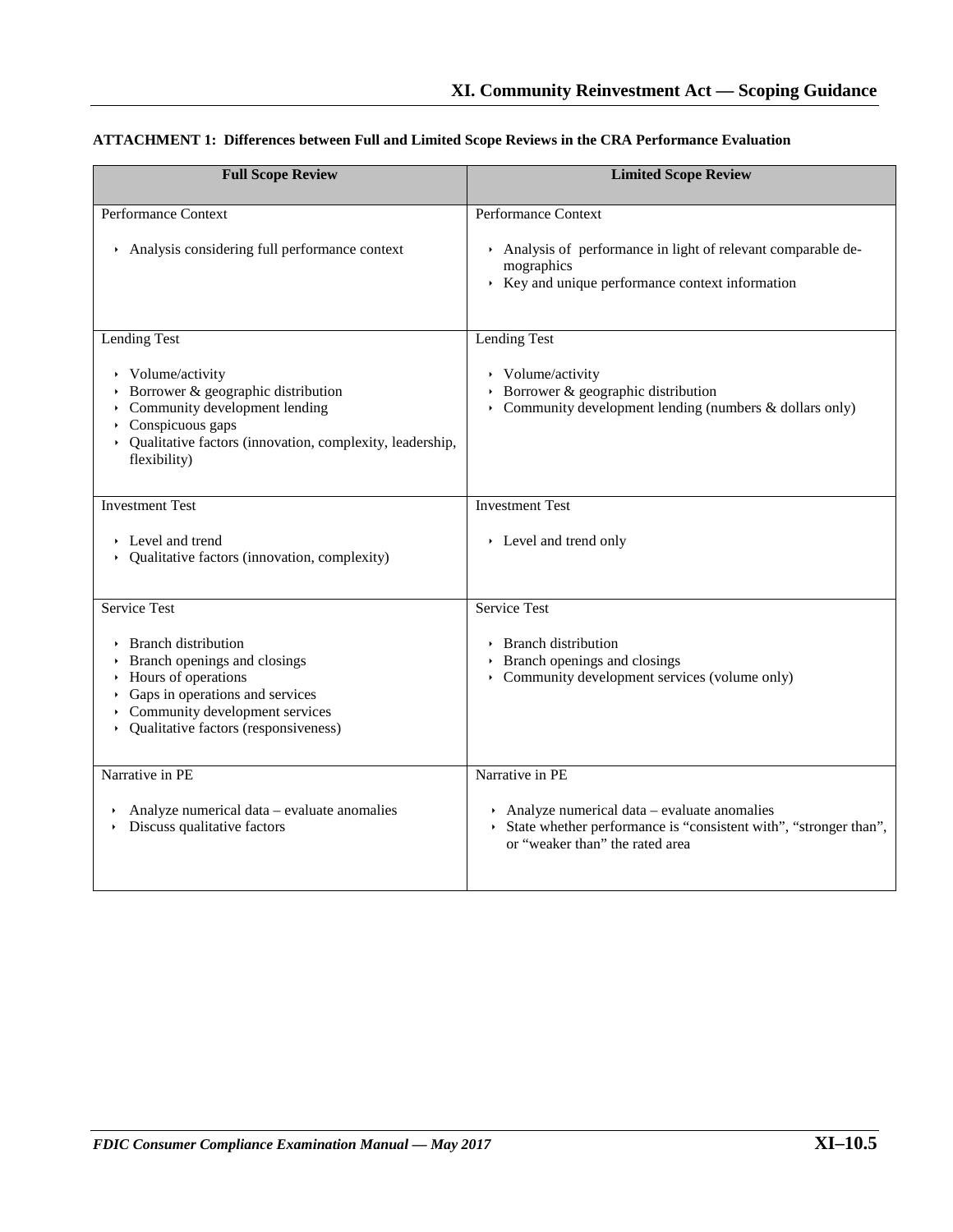| <b>Full Scope Review</b>                                                                                                                                                                                                                         | <b>Limited Scope Review</b>                                                                                                                          |  |  |  |
|--------------------------------------------------------------------------------------------------------------------------------------------------------------------------------------------------------------------------------------------------|------------------------------------------------------------------------------------------------------------------------------------------------------|--|--|--|
| Performance Context                                                                                                                                                                                                                              | Performance Context                                                                                                                                  |  |  |  |
| Analysis considering full performance context                                                                                                                                                                                                    | Analysis of performance in light of relevant comparable de-<br>mographics<br>$\rightarrow$ Key and unique performance context information            |  |  |  |
| Lending Test                                                                                                                                                                                                                                     | Lending Test                                                                                                                                         |  |  |  |
| $\rightarrow$ Volume/activity<br>$\rightarrow$ Borrower & geographic distribution<br>$\rightarrow$ Community development lending<br>$\rightarrow$ Conspicuous gaps<br>• Qualitative factors (innovation, complexity, leadership,<br>flexibility) | $\rightarrow$ Volume/activity<br>$\rightarrow$ Borrower & geographic distribution<br>• Community development lending (numbers $\&$ dollars only)     |  |  |  |
| <b>Investment Test</b>                                                                                                                                                                                                                           | <b>Investment Test</b>                                                                                                                               |  |  |  |
| $\triangleright$ Level and trend<br>• Qualitative factors (innovation, complexity)                                                                                                                                                               | Level and trend only                                                                                                                                 |  |  |  |
| <b>Service Test</b>                                                                                                                                                                                                                              | <b>Service Test</b>                                                                                                                                  |  |  |  |
| <b>Branch distribution</b><br>Branch openings and closings<br>• Hours of operations<br>$\rightarrow$ Gaps in operations and services<br>$\rightarrow$ Community development services<br>• Qualitative factors (responsiveness)                   | ▶ Branch distribution<br>$\rightarrow$ Branch openings and closings<br>• Community development services (volume only)                                |  |  |  |
| Narrative in PE                                                                                                                                                                                                                                  | Narrative in PE                                                                                                                                      |  |  |  |
| Analyze numerical data – evaluate anomalies<br>Discuss qualitative factors                                                                                                                                                                       | Analyze numerical data $-$ evaluate anomalies<br>State whether performance is "consistent with", "stronger than",<br>or "weaker than" the rated area |  |  |  |

# **ATTACHMENT 1: Differences between Full and Limited Scope Reviews in the CRA Performance Evaluation**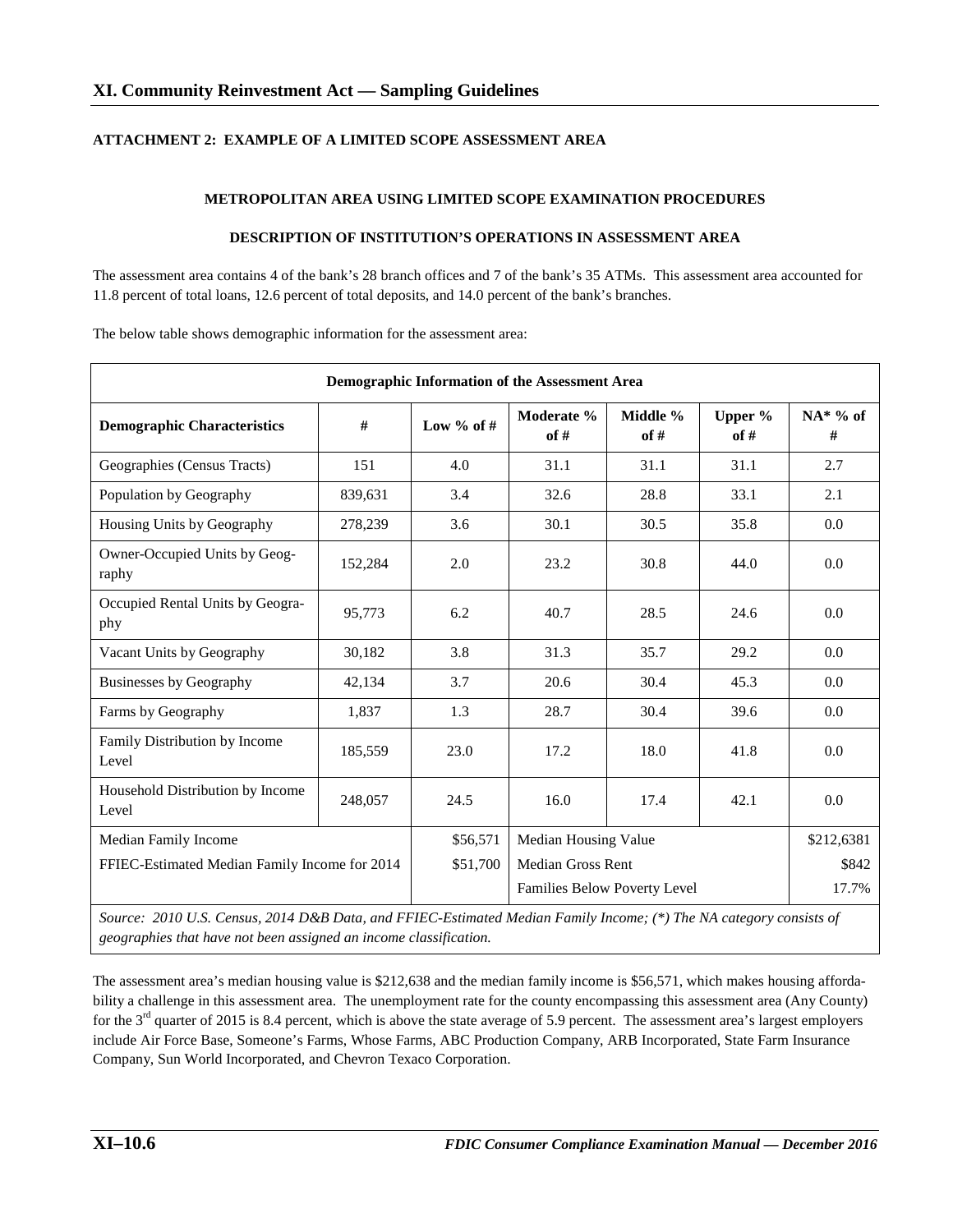# **ATTACHMENT 2: EXAMPLE OF A LIMITED SCOPE ASSESSMENT AREA**

### **METROPOLITAN AREA USING LIMITED SCOPE EXAMINATION PROCEDURES**

### **DESCRIPTION OF INSTITUTION'S OPERATIONS IN ASSESSMENT AREA**

The assessment area contains 4 of the bank's 28 branch offices and 7 of the bank's 35 ATMs. This assessment area accounted for 11.8 percent of total loans, 12.6 percent of total deposits, and 14.0 percent of the bank's branches.

The below table shows demographic information for the assessment area:

| Demographic Information of the Assessment Area |         |              |                              |                  |                 |                  |  |  |
|------------------------------------------------|---------|--------------|------------------------------|------------------|-----------------|------------------|--|--|
| <b>Demographic Characteristics</b>             | #       | Low % of $#$ | Moderate %<br>of #           | Middle %<br>of # | Upper %<br>of # | $NA^*$ % of<br># |  |  |
| Geographies (Census Tracts)                    | 151     | 4.0          | 31.1                         | 31.1             | 31.1            | 2.7              |  |  |
| Population by Geography                        | 839,631 | 3.4          | 32.6                         | 28.8             | 33.1            | 2.1              |  |  |
| Housing Units by Geography                     | 278,239 | 3.6          | 30.1                         | 30.5             | 35.8            | 0.0              |  |  |
| Owner-Occupied Units by Geog-<br>raphy         | 152,284 | 2.0          | 23.2                         | 30.8             | 44.0            | 0.0              |  |  |
| Occupied Rental Units by Geogra-<br>phy        | 95,773  | 6.2          | 40.7                         | 28.5             | 24.6            | 0.0              |  |  |
| Vacant Units by Geography                      | 30,182  | 3.8          | 31.3                         | 35.7             | 29.2            | 0.0              |  |  |
| <b>Businesses by Geography</b>                 | 42,134  | 3.7          | 20.6                         | 30.4             | 45.3            | 0.0              |  |  |
| Farms by Geography                             | 1,837   | 1.3          | 28.7                         | 30.4             | 39.6            | 0.0              |  |  |
| Family Distribution by Income<br>Level         | 185,559 | 23.0         | 17.2                         | 18.0             | 41.8            | 0.0              |  |  |
| Household Distribution by Income<br>Level      | 248,057 | 24.5         | 16.0                         | 17.4             | 42.1            | 0.0              |  |  |
| Median Family Income                           |         | \$56,571     | Median Housing Value         |                  |                 | \$212,6381       |  |  |
| FFIEC-Estimated Median Family Income for 2014  |         | \$51,700     | <b>Median Gross Rent</b>     |                  |                 | \$842            |  |  |
|                                                |         |              | Families Below Poverty Level |                  |                 | 17.7%            |  |  |

*Source: 2010 U.S. Census, 2014 D&B Data, and FFIEC-Estimated Median Family Income; (\*) The NA category consists of geographies that have not been assigned an income classification.*

The assessment area's median housing value is \$212,638 and the median family income is \$56,571, which makes housing affordability a challenge in this assessment area. The unemployment rate for the county encompassing this assessment area (Any County) for the 3<sup>rd</sup> quarter of 2015 is 8.4 percent, which is above the state average of 5.9 percent. The assessment area's largest employers include Air Force Base, Someone's Farms, Whose Farms, ABC Production Company, ARB Incorporated, State Farm Insurance Company, Sun World Incorporated, and Chevron Texaco Corporation.